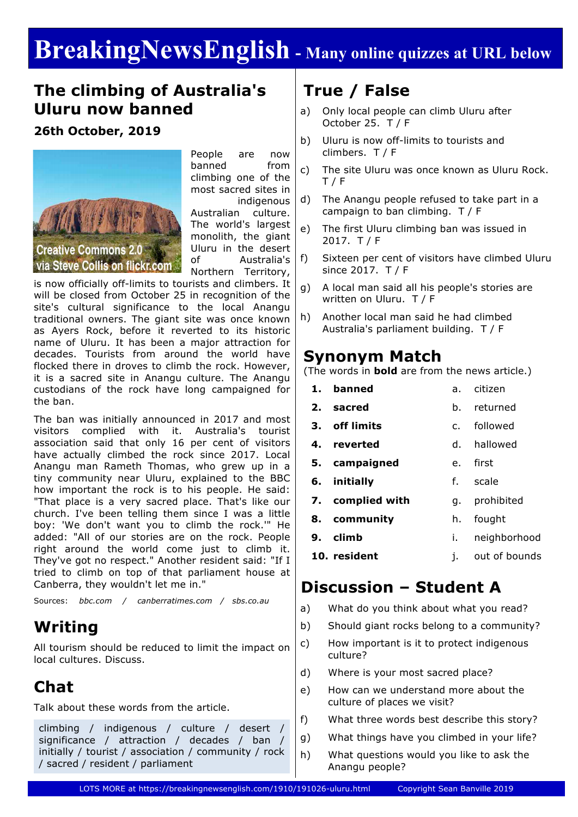# **BreakingNewsEnglish - Many online quizzes at URL below**

### **The climbing of Australia's Uluru now banned**

#### **26th October, 2019**



People are now banned from climbing one of the most sacred sites in indigenous Australian culture. The world's largest monolith, the giant Uluru in the desert of Australia's Northern Territory,

is now officially off-limits to tourists and climbers. It will be closed from October 25 in recognition of the site's cultural significance to the local Anangu traditional owners. The giant site was once known as Ayers Rock, before it reverted to its historic name of Uluru. It has been a major attraction for decades. Tourists from around the world have flocked there in droves to climb the rock. However, it is a sacred site in Anangu culture. The Anangu custodians of the rock have long campaigned for the ban.

The ban was initially announced in 2017 and most visitors complied with it. Australia's tourist association said that only 16 per cent of visitors have actually climbed the rock since 2017. Local Anangu man Rameth Thomas, who grew up in a tiny community near Uluru, explained to the BBC how important the rock is to his people. He said: "That place is a very sacred place. That's like our church. I've been telling them since I was a little boy: 'We don't want you to climb the rock.'" He added: "All of our stories are on the rock. People right around the world come just to climb it. They've got no respect." Another resident said: "If I tried to climb on top of that parliament house at Canberra, they wouldn't let me in."

Sources: *bbc.com / canberratimes.com / sbs.co.au*

### **Writing**

All tourism should be reduced to limit the impact on local cultures. Discuss.

## **Chat**

Talk about these words from the article.

climbing / indigenous / culture / desert / significance / attraction / decades / ban / initially / tourist / association / community / rock / sacred / resident / parliament

## **True / False**

- a) Only local people can climb Uluru after October 25. T / F
- b) Uluru is now off-limits to tourists and climbers. T / F
- c) The site Uluru was once known as Uluru Rock. T / F
- d) The Anangu people refused to take part in a campaign to ban climbing. T / F
- e) The first Uluru climbing ban was issued in 2017. T / F
- f) Sixteen per cent of visitors have climbed Uluru since 2017. T / F
- g) A local man said all his people's stories are written on Uluru. T / F
- h) Another local man said he had climbed Australia's parliament building. T / F

#### **Synonym Match**

(The words in **bold** are from the news article.)

- **1. banned 2. sacred 3. off limits 4. reverted 5. campaigned 6. initially** a. citizen b. returned c. followed d. hallowed e. first f. scale
- **7. complied with** g. prohibited
- **8. community** h. fought
- **9. climb** i. neighborhood
- **10. resident** j. out of bounds

## **Discussion – Student A**

- a) What do you think about what you read?
- b) Should giant rocks belong to a community?
- c) How important is it to protect indigenous culture?
- d) Where is your most sacred place?
- e) How can we understand more about the culture of places we visit?
- f) What three words best describe this story?
- g) What things have you climbed in your life?
- h) What questions would you like to ask the Anangu people?